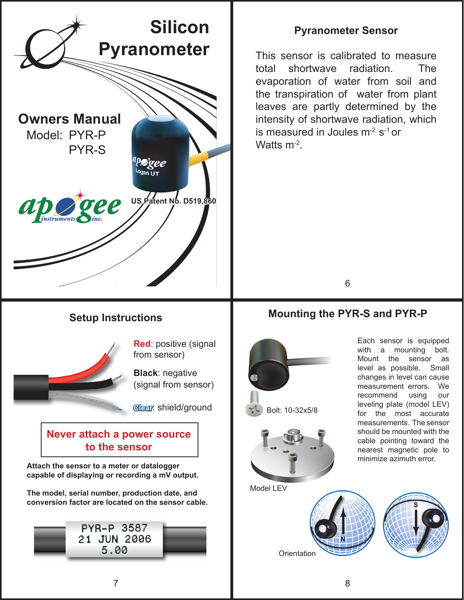